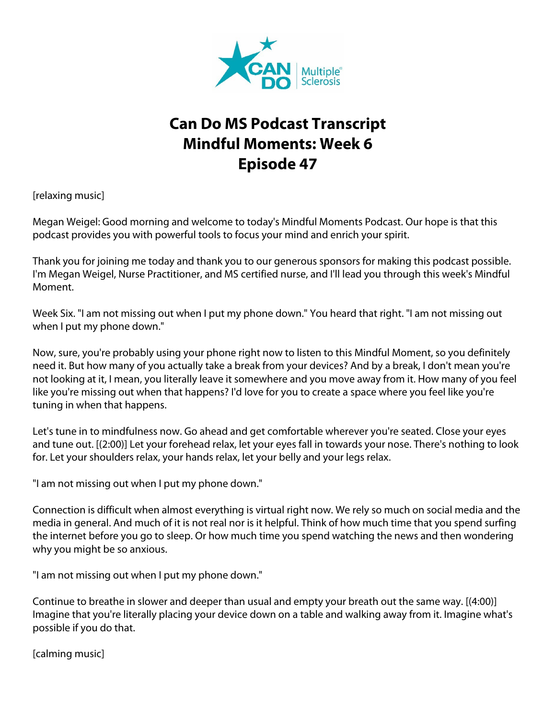

## **Can Do MS Podcast Transcript Mindful Moments: Week 6 Episode 47**

[relaxing music]

Megan Weigel: Good morning and welcome to today's Mindful Moments Podcast. Our hope is that this podcast provides you with powerful tools to focus your mind and enrich your spirit.

Thank you for joining me today and thank you to our generous sponsors for making this podcast possible. I'm Megan Weigel, Nurse Practitioner, and MS certified nurse, and I'll lead you through this week's Mindful Moment.

Week Six. "I am not missing out when I put my phone down." You heard that right. "I am not missing out when I put my phone down."

Now, sure, you're probably using your phone right now to listen to this Mindful Moment, so you definitely need it. But how many of you actually take a break from your devices? And by a break, I don't mean you're not looking at it, I mean, you literally leave it somewhere and you move away from it. How many of you feel like you're missing out when that happens? I'd love for you to create a space where you feel like you're tuning in when that happens.

Let's tune in to mindfulness now. Go ahead and get comfortable wherever you're seated. Close your eyes and tune out. [(2:00)] Let your forehead relax, let your eyes fall in towards your nose. There's nothing to look for. Let your shoulders relax, your hands relax, let your belly and your legs relax.

"I am not missing out when I put my phone down."

Connection is difficult when almost everything is virtual right now. We rely so much on social media and the media in general. And much of it is not real nor is it helpful. Think of how much time that you spend surfing the internet before you go to sleep. Or how much time you spend watching the news and then wondering why you might be so anxious.

"I am not missing out when I put my phone down."

Continue to breathe in slower and deeper than usual and empty your breath out the same way. [(4:00)] Imagine that you're literally placing your device down on a table and walking away from it. Imagine what's possible if you do that.

[calming music]